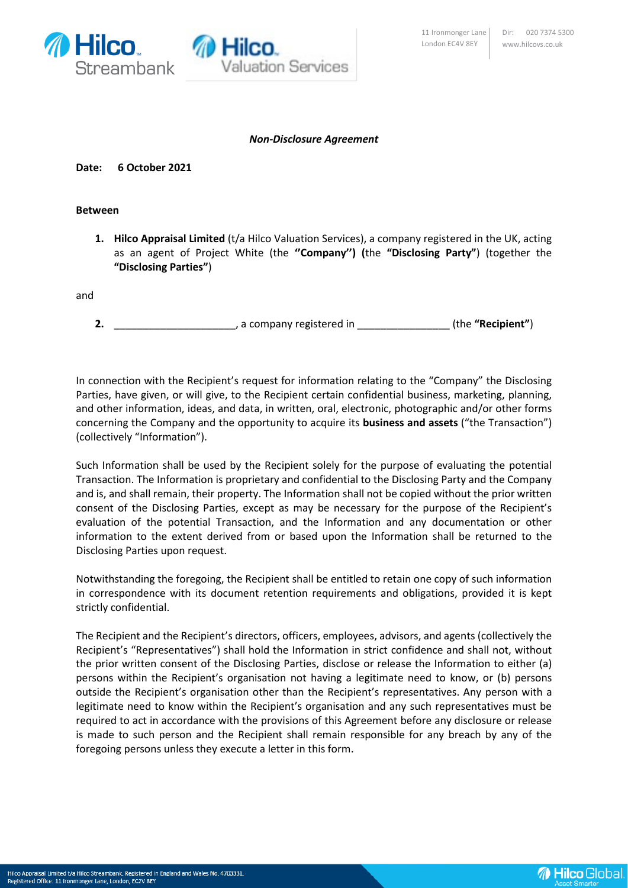



## *Non-Disclosure Agreement*

**Date: 6 October 2021**

## **Between**

**1. Hilco Appraisal Limited** (t/a Hilco Valuation Services), a company registered in the UK, acting as an agent of Project White (the **''Company'') (**the **"Disclosing Party"**) (together the **"Disclosing Parties"**)

and

**2.** \_\_\_\_\_\_\_\_\_\_\_\_\_\_\_\_\_\_\_\_\_, a company registered in \_\_\_\_\_\_\_\_\_\_\_\_\_\_\_\_ (the **"Recipient"**)

In connection with the Recipient's request for information relating to the "Company" the Disclosing Parties, have given, or will give, to the Recipient certain confidential business, marketing, planning, and other information, ideas, and data, in written, oral, electronic, photographic and/or other forms concerning the Company and the opportunity to acquire its **business and assets** ("the Transaction") (collectively "Information").

Such Information shall be used by the Recipient solely for the purpose of evaluating the potential Transaction. The Information is proprietary and confidential to the Disclosing Party and the Company and is, and shall remain, their property. The Information shall not be copied without the prior written consent of the Disclosing Parties, except as may be necessary for the purpose of the Recipient's evaluation of the potential Transaction, and the Information and any documentation or other information to the extent derived from or based upon the Information shall be returned to the Disclosing Parties upon request.

Notwithstanding the foregoing, the Recipient shall be entitled to retain one copy of such information in correspondence with its document retention requirements and obligations, provided it is kept strictly confidential.

The Recipient and the Recipient's directors, officers, employees, advisors, and agents (collectively the Recipient's "Representatives") shall hold the Information in strict confidence and shall not, without the prior written consent of the Disclosing Parties, disclose or release the Information to either (a) persons within the Recipient's organisation not having a legitimate need to know, or (b) persons outside the Recipient's organisation other than the Recipient's representatives. Any person with a legitimate need to know within the Recipient's organisation and any such representatives must be required to act in accordance with the provisions of this Agreement before any disclosure or release is made to such person and the Recipient shall remain responsible for any breach by any of the foregoing persons unless they execute a letter in this form.